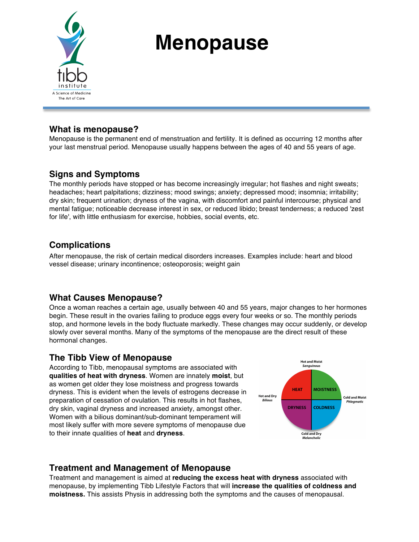

# **Menopause**

## **What is menopause?**

Menopause is the permanent end of menstruation and fertility. It is defined as occurring 12 months after your last menstrual period. Menopause usually happens between the ages of 40 and 55 years of age.

## **Signs and Symptoms**

The monthly periods have stopped or has become increasingly irregular; hot flashes and night sweats; headaches; heart palpitations; dizziness; mood swings; anxiety; depressed mood; insomnia; irritability; dry skin; frequent urination; dryness of the vagina, with discomfort and painful intercourse; physical and mental fatigue; noticeable decrease interest in sex, or reduced libido; breast tenderness; a reduced 'zest for life', with little enthusiasm for exercise, hobbies, social events, etc.

# **Complications**

After menopause, the risk of certain medical disorders increases. Examples include: heart and blood vessel disease; urinary incontinence; osteoporosis; weight gain

## **What Causes Menopause?**

Once a woman reaches a certain age, usually between 40 and 55 years, major changes to her hormones begin. These result in the ovaries failing to produce eggs every four weeks or so. The monthly periods stop, and hormone levels in the body fluctuate markedly. These changes may occur suddenly, or develop slowly over several months. Many of the symptoms of the menopause are the direct result of these hormonal changes.

## **The Tibb View of Menopause**

According to Tibb, menopausal symptoms are associated with **qualities of heat with dryness**. Women are innately **moist**, but as women get older they lose moistness and progress towards dryness. This is evident when the levels of estrogens decrease in preparation of cessation of ovulation. This results in hot flashes, dry skin, vaginal dryness and increased anxiety, amongst other. Women with a bilious dominant/sub-dominant temperament will most likely suffer with more severe symptoms of menopause due to their innate qualities of **heat** and **dryness**.



## **Treatment and Management of Menopause**

Treatment and management is aimed at **reducing the excess heat with dryness** associated with menopause, by implementing Tibb Lifestyle Factors that will **increase the qualities of coldness and moistness.** This assists Physis in addressing both the symptoms and the causes of menopausal.